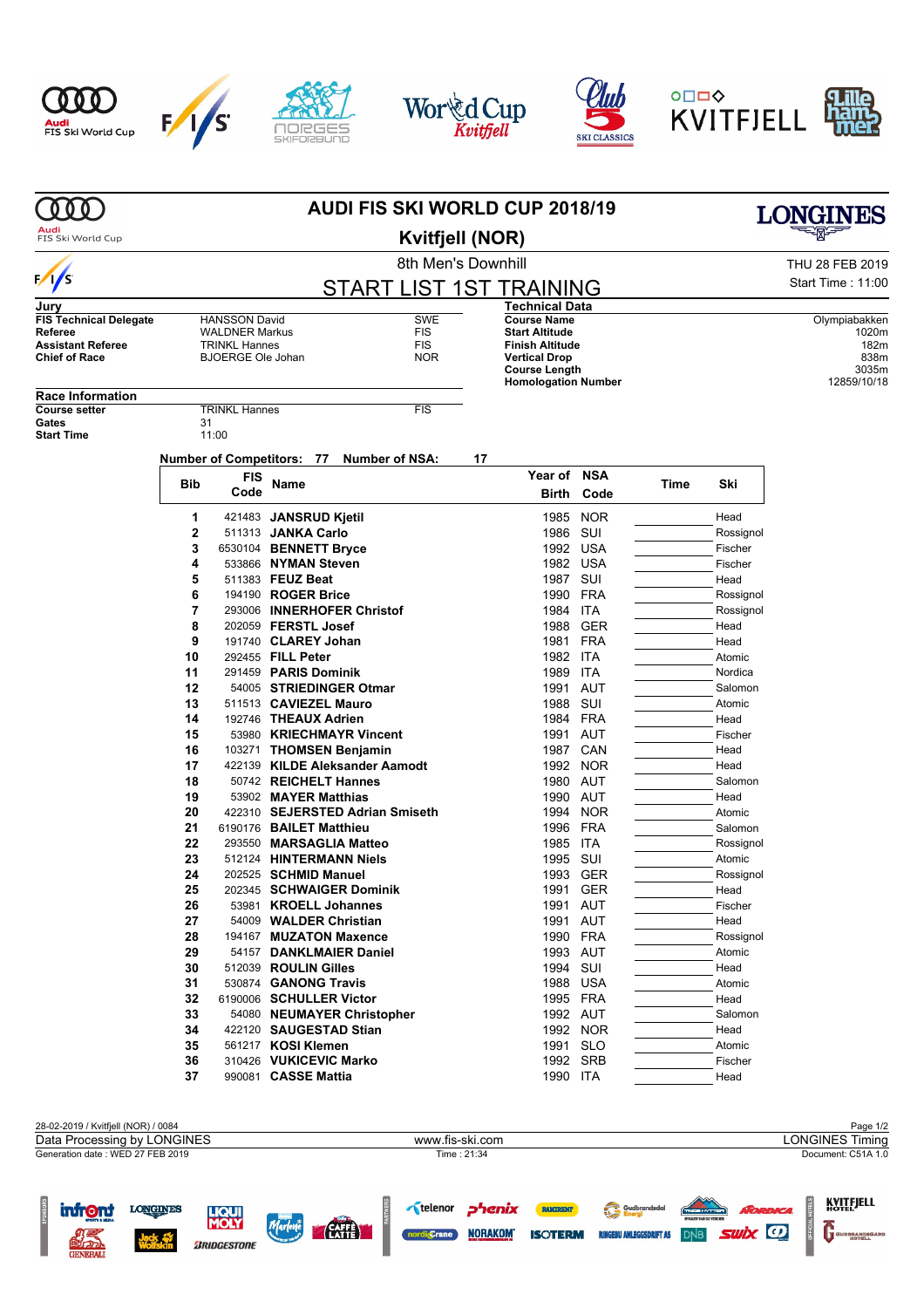



**ZRIDGESTONE** 

 $\mathsf F$ 





|                                       |                                  |                                                                           | <b>AUDI FIS SKI WORLD CUP 2018/19</b>        |                                              | <b>LONGINES</b>                       |                      |      |                      |                        |  |
|---------------------------------------|----------------------------------|---------------------------------------------------------------------------|----------------------------------------------|----------------------------------------------|---------------------------------------|----------------------|------|----------------------|------------------------|--|
| Audi<br>FIS Ski World Cup             |                                  |                                                                           |                                              |                                              |                                       |                      |      |                      |                        |  |
|                                       |                                  |                                                                           |                                              | <b>Kvitfjell (NOR)</b><br>8th Men's Downhill |                                       | THU 28 FEB 2019      |      |                      |                        |  |
| $\frac{1}{s}$                         |                                  |                                                                           |                                              |                                              |                                       |                      |      |                      | Start Time: 11:00      |  |
|                                       |                                  |                                                                           |                                              | <b>START LIST 1ST TRAINING</b>               |                                       |                      |      |                      |                        |  |
| Jury<br><b>FIS Technical Delegate</b> |                                  |                                                                           |                                              |                                              | Technical Data<br><b>Course Name</b>  |                      |      |                      |                        |  |
| Referee                               |                                  | <b>SWE</b><br><b>HANSSON David</b><br><b>WALDNER Markus</b><br><b>FIS</b> |                                              |                                              | <b>Start Altitude</b>                 |                      |      |                      | Olympiabakken<br>1020m |  |
| <b>Assistant Referee</b>              |                                  | <b>TRINKL Hannes</b>                                                      |                                              | <b>FIS</b>                                   | <b>Finish Altitude</b>                |                      |      |                      | 182m                   |  |
| <b>Chief of Race</b>                  |                                  | <b>BJOERGE Ole Johan</b>                                                  |                                              | <b>NOR</b>                                   | <b>Vertical Drop</b><br>Course Length |                      |      |                      | 838m<br>3035m          |  |
|                                       |                                  |                                                                           |                                              |                                              | <b>Homologation Number</b>            |                      |      |                      | 12859/10/18            |  |
| <b>Race Information</b>               |                                  |                                                                           |                                              |                                              |                                       |                      |      |                      |                        |  |
| <b>Course setter</b><br>Gates         | 31                               | <b>TRINKL Hannes</b>                                                      |                                              | <b>FIS</b>                                   |                                       |                      |      |                      |                        |  |
| <b>Start Time</b>                     |                                  | 11:00                                                                     |                                              |                                              |                                       |                      |      |                      |                        |  |
|                                       |                                  |                                                                           |                                              | <b>Number of NSA:</b>                        | 17                                    |                      |      |                      |                        |  |
|                                       | <b>Number of Competitors: 77</b> |                                                                           |                                              |                                              |                                       | Year of NSA          |      |                      |                        |  |
|                                       | <b>Bib</b>                       | <b>FIS</b><br>Code                                                        | Name                                         |                                              | Birth                                 | Code                 | Time | Ski                  |                        |  |
|                                       |                                  |                                                                           |                                              |                                              |                                       |                      |      |                      |                        |  |
|                                       | 1                                |                                                                           | 421483 JANSRUD Kjetil                        |                                              | 1985                                  | <b>NOR</b>           |      | Head                 |                        |  |
|                                       | $\mathbf{2}$                     |                                                                           | 511313 JANKA Carlo                           |                                              | 1986                                  | SUI                  |      | Rossignol            |                        |  |
|                                       | 3<br>4                           |                                                                           | 6530104 BENNETT Bryce<br>533866 NYMAN Steven |                                              | 1992                                  | USA<br>1982 USA      |      | Fischer<br>Fischer   |                        |  |
|                                       | 5                                |                                                                           | 511383 FEUZ Beat                             |                                              | 1987                                  | SUI                  |      | Head                 |                        |  |
|                                       | 6                                |                                                                           | 194190 ROGER Brice                           |                                              | 1990                                  | FRA                  |      | Rossignol            |                        |  |
|                                       | 7                                |                                                                           |                                              | 293006 INNERHOFER Christof                   | 1984                                  | <b>ITA</b>           |      | Rossignol            |                        |  |
|                                       | 8                                |                                                                           | 202059 FERSTL Josef                          |                                              | 1988                                  | <b>GER</b>           |      | Head                 |                        |  |
|                                       | 9                                |                                                                           | 191740 CLAREY Johan                          |                                              | 1981                                  | FRA                  |      | Head                 |                        |  |
|                                       | 10                               |                                                                           | 292455 FILL Peter                            |                                              |                                       | 1982 ITA             |      | Atomic               |                        |  |
|                                       | 11                               |                                                                           | 291459 PARIS Dominik                         |                                              | 1989                                  | ITA                  |      | Nordica              |                        |  |
|                                       | 12<br>13                         |                                                                           | 511513 CAVIEZEL Mauro                        | 54005 STRIEDINGER Otmar                      | 1991<br>1988                          | AUT<br>SUI           |      | Salomon<br>Atomic    |                        |  |
|                                       | 14                               |                                                                           | 192746 THEAUX Adrien                         |                                              | 1984                                  | <b>FRA</b>           |      | Head                 |                        |  |
|                                       | 15                               |                                                                           |                                              | 53980 KRIECHMAYR Vincent                     | 1991                                  | AUT                  |      | Fischer              |                        |  |
|                                       | 16                               |                                                                           |                                              | 103271 THOMSEN Benjamin                      | 1987                                  | CAN                  |      | Head                 |                        |  |
|                                       | 17                               |                                                                           |                                              | 422139 KILDE Aleksander Aamodt               | 1992                                  | <b>NOR</b>           |      | Head                 |                        |  |
|                                       | 18                               |                                                                           |                                              | 50742 REICHELT Hannes                        |                                       | 1980 AUT             |      | Salomon              |                        |  |
|                                       | 19                               |                                                                           | 53902 MAYER Matthias                         |                                              | 1990                                  | AUT                  |      | Head                 |                        |  |
|                                       | 20                               |                                                                           |                                              | 422310 SEJERSTED Adrian Smiseth              | 1994                                  | <b>NOR</b>           |      | Atomic               |                        |  |
|                                       | 21<br>22                         |                                                                           | 6190176 BAILET Matthieu                      | 293550 MARSAGLIA Matteo                      | 1996<br>1985                          | FRA<br>ITA           |      | Salomon<br>Rossignol |                        |  |
|                                       | 23                               |                                                                           |                                              | 512124 HINTERMANN Niels                      |                                       | 1995 SUI             |      | Atomic               |                        |  |
|                                       | 24                               |                                                                           | 202525 SCHMID Manuel                         |                                              |                                       | 1993 GER             |      | Rossignol            |                        |  |
|                                       | 25                               |                                                                           |                                              | 202345 SCHWAIGER Dominik                     | 1991                                  | <b>GER</b>           |      | Head                 |                        |  |
|                                       | 26                               |                                                                           |                                              | 53981 KROELL Johannes                        |                                       | 1991 AUT             |      | Fischer              |                        |  |
|                                       | 27                               |                                                                           |                                              | 54009 WALDER Christian                       |                                       | 1991 AUT             |      | Head                 |                        |  |
|                                       | 28                               |                                                                           |                                              | 194167 MUZATON Maxence                       |                                       | 1990 FRA             |      | Rossignol            |                        |  |
|                                       | 29                               |                                                                           | 512039 ROULIN Gilles                         | 54157 DANKLMAIER Daniel                      |                                       | 1993 AUT             |      | Atomic               |                        |  |
|                                       | 30<br>31                         |                                                                           | 530874 GANONG Travis                         |                                              |                                       | 1994 SUI<br>1988 USA |      | Head<br>Atomic       |                        |  |
|                                       | 32                               |                                                                           |                                              | 6190006 SCHULLER Victor                      |                                       | 1995 FRA             |      | Head                 |                        |  |
|                                       | 33                               |                                                                           |                                              | 54080 NEUMAYER Christopher                   |                                       | 1992 AUT             |      | Salomon              |                        |  |
|                                       | 34                               |                                                                           |                                              | 422120 SAUGESTAD Stian                       |                                       | 1992 NOR             |      | Head                 |                        |  |
|                                       | 35                               |                                                                           | 561217 KOSI Klemen                           |                                              |                                       | 1991 SLO             |      | Atomic               |                        |  |
|                                       | 36                               |                                                                           |                                              | 310426 VUKICEVIC Marko                       |                                       | 1992 SRB             |      | Fischer              |                        |  |
|                                       | 37                               |                                                                           | 990081 CASSE Mattia                          |                                              |                                       | 1990 ITA             |      | Head                 |                        |  |